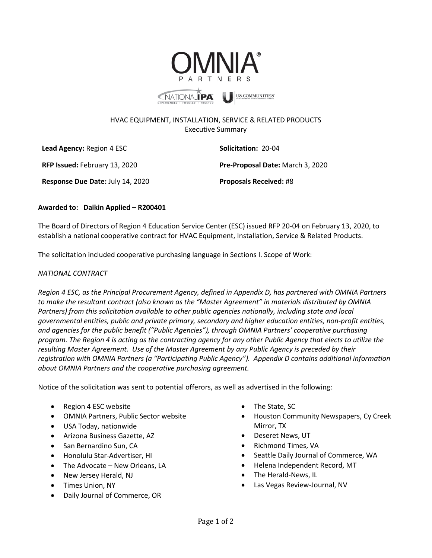

## HVAC EQUIPMENT, INSTALLATION, SERVICE & RELATED PRODUCTS Executive Summary

**Lead Agency:** Region 4 ESC **Solicitation:** 20-04 **RFP Issued:** February 13, 2020 **Pre-Proposal Date:** March 3, 2020 **Response Due Date:** July 14, 2020 **Proposals Received:** #8

## **Awarded to: Daikin Applied – R200401**

The Board of Directors of Region 4 Education Service Center (ESC) issued RFP 20-04 on February 13, 2020, to establish a national cooperative contract for HVAC Equipment, Installation, Service & Related Products.

The solicitation included cooperative purchasing language in Sections I. Scope of Work:

## *NATIONAL CONTRACT*

*Region 4 ESC, as the Principal Procurement Agency, defined in Appendix D, has partnered with OMNIA Partners to make the resultant contract (also known as the "Master Agreement" in materials distributed by OMNIA Partners) from this solicitation available to other public agencies nationally, including state and local governmental entities, public and private primary, secondary and higher education entities, non-profit entities, and agencies for the public benefit ("Public Agencies"), through OMNIA Partners' cooperative purchasing program. The Region 4 is acting as the contracting agency for any other Public Agency that elects to utilize the resulting Master Agreement. Use of the Master Agreement by any Public Agency is preceded by their registration with OMNIA Partners (a "Participating Public Agency"). Appendix D contains additional information about OMNIA Partners and the cooperative purchasing agreement.*

Notice of the solicitation was sent to potential offerors, as well as advertised in the following:

- Region 4 ESC website
- OMNIA Partners, Public Sector website
- USA Today, nationwide
- Arizona Business Gazette, AZ
- San Bernardino Sun, CA
- Honolulu Star-Advertiser, HI
- The Advocate New Orleans, LA
- New Jersey Herald, NJ
- Times Union, NY
- Daily Journal of Commerce, OR
- The State, SC
- Houston Community Newspapers, Cy Creek Mirror, TX
- Deseret News, UT
- Richmond Times, VA
- Seattle Daily Journal of Commerce, WA
- Helena Independent Record, MT
- The Herald-News, IL
- Las Vegas Review-Journal, NV